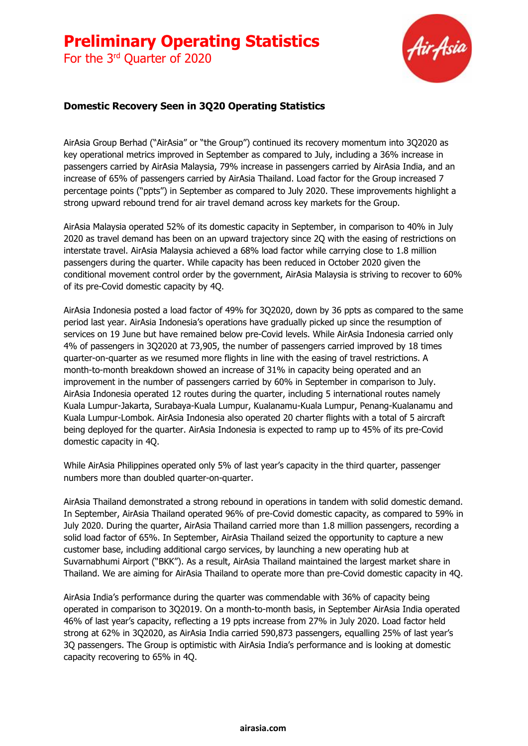For the 3<sup>rd</sup> Quarter of 2020



#### **Domestic Recovery Seen in 3Q20 Operating Statistics**

AirAsia Group Berhad ("AirAsia" or "the Group") continued its recovery momentum into 3Q2020 as key operational metrics improved in September as compared to July, including a 36% increase in passengers carried by AirAsia Malaysia, 79% increase in passengers carried by AirAsia India, and an increase of 65% of passengers carried by AirAsia Thailand. Load factor for the Group increased 7 percentage points ("ppts") in September as compared to July 2020. These improvements highlight a strong upward rebound trend for air travel demand across key markets for the Group.

AirAsia Malaysia operated 52% of its domestic capacity in September, in comparison to 40% in July 2020 as travel demand has been on an upward trajectory since 2Q with the easing of restrictions on interstate travel. AirAsia Malaysia achieved a 68% load factor while carrying close to 1.8 million passengers during the quarter. While capacity has been reduced in October 2020 given the conditional movement control order by the government, AirAsia Malaysia is striving to recover to 60% of its pre-Covid domestic capacity by 4Q.

AirAsia Indonesia posted a load factor of 49% for 3Q2020, down by 36 ppts as compared to the same period last year. AirAsia Indonesia's operations have gradually picked up since the resumption of services on 19 June but have remained below pre-Covid levels. While AirAsia Indonesia carried only 4% of passengers in 3Q2020 at 73,905, the number of passengers carried improved by 18 times quarter-on-quarter as we resumed more flights in line with the easing of travel restrictions. A month-to-month breakdown showed an increase of 31% in capacity being operated and an improvement in the number of passengers carried by 60% in September in comparison to July. AirAsia Indonesia operated 12 routes during the quarter, including 5 international routes namely Kuala Lumpur-Jakarta, Surabaya-Kuala Lumpur, Kualanamu-Kuala Lumpur, Penang-Kualanamu and Kuala Lumpur-Lombok. AirAsia Indonesia also operated 20 charter flights with a total of 5 aircraft being deployed for the quarter. AirAsia Indonesia is expected to ramp up to 45% of its pre-Covid domestic capacity in 4Q.

While AirAsia Philippines operated only 5% of last year's capacity in the third quarter, passenger numbers more than doubled quarter-on-quarter.

AirAsia Thailand demonstrated a strong rebound in operations in tandem with solid domestic demand. In September, AirAsia Thailand operated 96% of pre-Covid domestic capacity, as compared to 59% in July 2020. During the quarter, AirAsia Thailand carried more than 1.8 million passengers, recording a solid load factor of 65%. In September, AirAsia Thailand seized the opportunity to capture a new customer base, including additional cargo services, by launching a new operating hub at Suvarnabhumi Airport ("BKK"). As a result, AirAsia Thailand maintained the largest market share in Thailand. We are aiming for AirAsia Thailand to operate more than pre-Covid domestic capacity in 4Q.

AirAsia India's performance during the quarter was commendable with 36% of capacity being operated in comparison to 3Q2019. On a month-to-month basis, in September AirAsia India operated 46% of last year's capacity, reflecting a 19 ppts increase from 27% in July 2020. Load factor held strong at 62% in 3Q2020, as AirAsia India carried 590,873 passengers, equalling 25% of last year's 3Q passengers. The Group is optimistic with AirAsia India's performance and is looking at domestic capacity recovering to 65% in 4Q.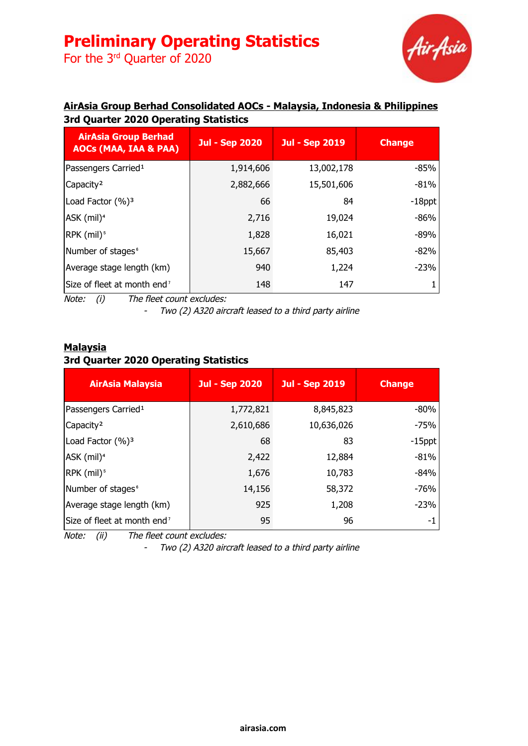For the 3<sup>rd</sup> Quarter of 2020



### **AirAsia Group Berhad Consolidated AOCs - Malaysia, Indonesia & Philippines 3rd Quarter 2020 Operating Statistics**

| <b>AirAsia Group Berhad</b><br><b>AOCs (MAA, IAA &amp; PAA)</b> | <b>Jul - Sep 2020</b> | <b>Jul - Sep 2019</b> | <b>Change</b> |
|-----------------------------------------------------------------|-----------------------|-----------------------|---------------|
| Passengers Carried <sup>1</sup>                                 | 1,914,606             | 13,002,178            | -85%          |
| Capacity <sup>2</sup>                                           | 2,882,666             | 15,501,606            | $-81%$        |
| Load Factor (%) <sup>3</sup>                                    | 66                    | 84                    | $-18$ ppt     |
| ASK (mil) <sup>4</sup>                                          | 2,716                 | 19,024                | $-86%$        |
| $RPK$ (mil) <sup>5</sup>                                        | 1,828                 | 16,021                | $-89%$        |
| Number of stages <sup>6</sup>                                   | 15,667                | 85,403                | $-82%$        |
| Average stage length (km)                                       | 940                   | 1,224                 | $-23%$        |
| Size of fleet at month end <sup>7</sup>                         | 148                   | 147                   |               |

Note: (i) The fleet count excludes:

- Two (2) A320 aircraft leased to <sup>a</sup> third party airline

#### **Malaysia 3rd Quarter 2020 Operating Statistics**

| <b>AirAsia Malaysia</b>                 | <b>Jul - Sep 2020</b> | <b>Jul - Sep 2019</b> | <b>Change</b> |
|-----------------------------------------|-----------------------|-----------------------|---------------|
| Passengers Carried <sup>1</sup>         | 1,772,821             | 8,845,823             | $-80%$        |
| Capacity <sup>2</sup>                   | 2,610,686             | 10,636,026            | $-75%$        |
| Load Factor (%) <sup>3</sup>            | 68                    | 83                    | $-15$ ppt     |
| ASK (mil) <sup>4</sup>                  | 2,422                 | 12,884                | $-81%$        |
| RPK (mil) <sup>5</sup>                  | 1,676                 | 10,783                | $-84%$        |
| Number of stages <sup>6</sup>           | 14,156                | 58,372                | $-76%$        |
| Average stage length (km)               | 925                   | 1,208                 | $-23%$        |
| Size of fleet at month end <sup>7</sup> | 95                    | 96                    | -1            |

Note: (ii) The fleet count excludes:

- Two (2) A320 aircraft leased to <sup>a</sup> third party airline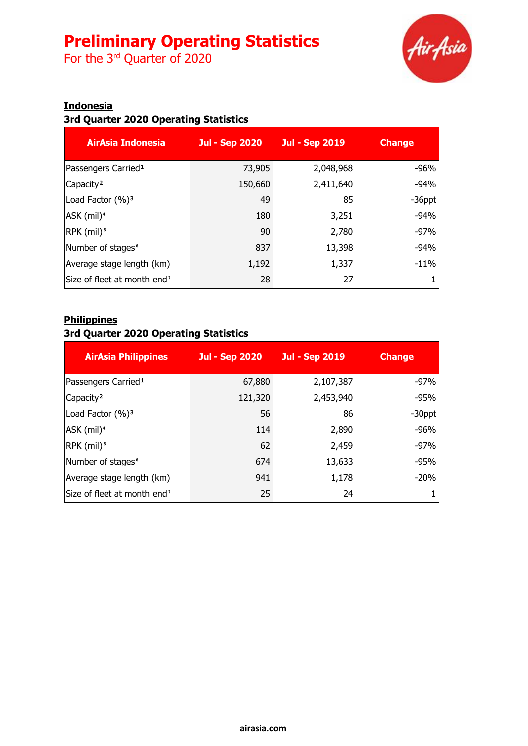For the 3<sup>rd</sup> Quarter of 2020



### **Indonesia**

## **3rd Quarter 2020 Operating Statistics**

| <b>AirAsia Indonesia</b>                | <b>Jul - Sep 2020</b> | <b>Jul - Sep 2019</b> | <b>Change</b> |
|-----------------------------------------|-----------------------|-----------------------|---------------|
| Passengers Carried <sup>1</sup>         | 73,905                | 2,048,968             | $-96%$        |
| Capacity <sup>2</sup>                   | 150,660               | 2,411,640             | $-94%$        |
| Load Factor $(\%)$ <sup>3</sup>         | 49                    | 85                    | $-36$ ppt     |
| ASK (mil) <sup>4</sup>                  | 180                   | 3,251                 | $-94%$        |
| $RPK$ (mil) <sup>5</sup>                | 90                    | 2,780                 | $-97%$        |
| Number of stages <sup>®</sup>           | 837                   | 13,398                | $-94%$        |
| Average stage length (km)               | 1,192                 | 1,337                 | $-11%$        |
| Size of fleet at month end <sup>7</sup> | 28                    | 27                    |               |

#### **Philippines**

### **3rd Quarter 2020 Operating Statistics**

| <b>AirAsia Philippines</b>              | <b>Jul - Sep 2020</b> | <b>Jul - Sep 2019</b> | <b>Change</b> |
|-----------------------------------------|-----------------------|-----------------------|---------------|
| Passengers Carried <sup>1</sup>         | 67,880                | 2,107,387             | $-97%$        |
| Capacity <sup>2</sup>                   | 121,320               | 2,453,940             | $-95%$        |
| Load Factor (%) <sup>3</sup>            | 56                    | 86                    | $-30$ ppt     |
| ASK (mil) <sup>4</sup>                  | 114                   | 2,890                 | $-96%$        |
| RPK (mil) <sup>5</sup>                  | 62                    | 2,459                 | $-97%$        |
| Number of stages <sup>6</sup>           | 674                   | 13,633                | $-95%$        |
| Average stage length (km)               | 941                   | 1,178                 | $-20%$        |
| Size of fleet at month end <sup>7</sup> | 25                    | 24                    |               |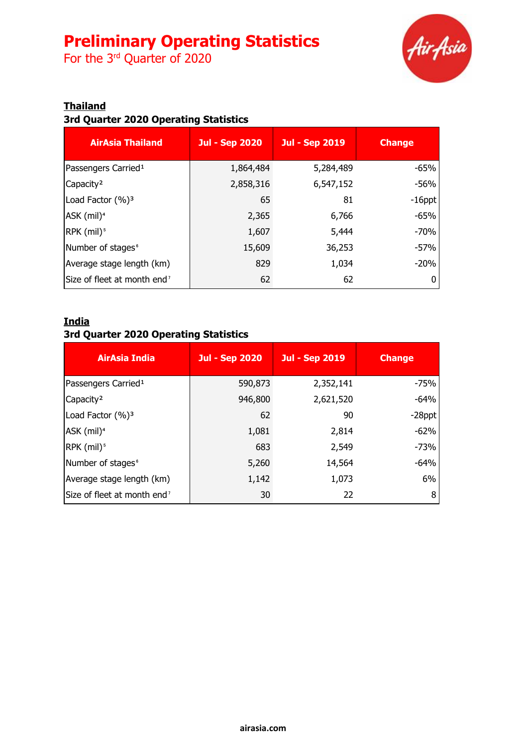For the 3<sup>rd</sup> Quarter of 2020



### **Thailand**

## **3rd Quarter 2020 Operating Statistics**

| <b>AirAsia Thailand</b>                 | <b>Jul - Sep 2020</b> | <b>Jul - Sep 2019</b> | <b>Change</b> |
|-----------------------------------------|-----------------------|-----------------------|---------------|
| Passengers Carried <sup>1</sup>         | 1,864,484             | 5,284,489             | $-65%$        |
| Capacity <sup>2</sup>                   | 2,858,316             | 6,547,152             | $-56%$        |
| Load Factor (%) <sup>3</sup>            | 65                    | 81                    | $-16$ ppt     |
| ASK (mil) <sup>4</sup>                  | 2,365                 | 6,766                 | $-65%$        |
| RPK (mil) <sup>5</sup>                  | 1,607                 | 5,444                 | $-70%$        |
| Number of stages <sup>®</sup>           | 15,609                | 36,253                | $-57%$        |
| Average stage length (km)               | 829                   | 1,034                 | $-20%$        |
| Size of fleet at month end <sup>7</sup> | 62                    | 62                    |               |

#### **India**

## **3rd Quarter 2020 Operating Statistics**

| AirAsia India                           | <b>Jul - Sep 2020</b> | <b>Jul - Sep 2019</b> | <b>Change</b> |
|-----------------------------------------|-----------------------|-----------------------|---------------|
| Passengers Carried <sup>1</sup>         | 590,873               | 2,352,141             | $-75%$        |
| Capacity <sup>2</sup>                   | 946,800               | 2,621,520             | $-64%$        |
| Load Factor (%) <sup>3</sup>            | 62                    | 90                    | $-28$ ppt     |
| ASK (mil) <sup>4</sup>                  | 1,081                 | 2,814                 | $-62%$        |
| RPK (mil) <sup>5</sup>                  | 683                   | 2,549                 | $-73%$        |
| Number of stages <sup>6</sup>           | 5,260                 | 14,564                | $-64%$        |
| Average stage length (km)               | 1,142                 | 1,073                 | 6%            |
| Size of fleet at month end <sup>7</sup> | 30                    | 22                    | 8             |